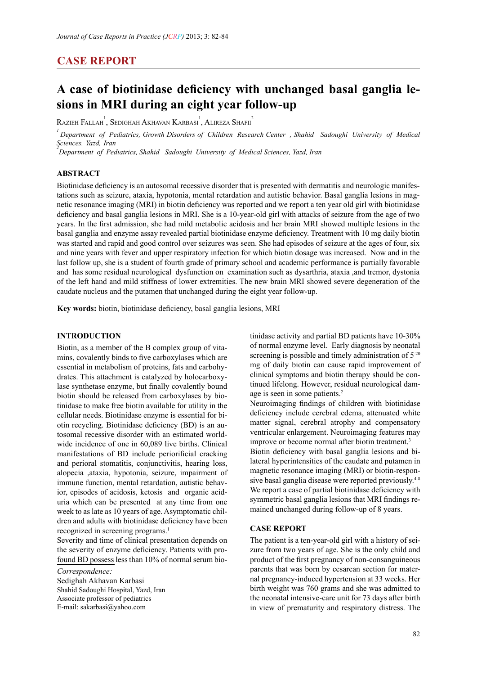# **CASE REPORT**

# A case of biotinidase deficiency with unchanged basal ganglia le-<br>sions in MRI during an eight year follow-up

 $\mathrm{R}$ azieh Fallah $\mathrm{ }^{1}_{\cdot }\mathrm{ }$ , Sedighah Akhavan Karbasi $\mathrm{ }^{1}_{\cdot }$  Alireza Shafii $\mathrm{ }^{2}$ 

<sup>1</sup> Department of Pediatrics, Growth Disorders of Children Research Center , Shahid Sadoughi University of Medical *<u>Sciences</u>*, *Yazd*, *Iran* 

<sup>2</sup><br> *Department of Pediatrics, Shahid Sadoughi University of Medical Sciences, Yazd, Iran* 

# **Abstract**

hetic resonance imaging (MRI) in biotin deficiency was reported and we report a ten year old girl with biotinidase tations such as seizure, ataxia, hypotonia, mental retardation and autistic behavior. Basal ganglia lesions in mag-Biotinidase deficiency is an autosomal recessive disorder that is presented with dermatitis and neurologic manifesdeficiency and basal ganglia lesions in MRI. She is a 10-year-old girl with attacks of seizure from the age of two years. In the first admission, she had mild metabolic acidosis and her brain MRI showed multiple lesions in the basal ganglia and enzyme assay revealed partial biotinidase enzyme deficiency. Treatment with 10 mg daily biotin was started and rapid and good control over seizures was seen. She had episodes of seizure at the ages of four, six and nine years with fever and upper respiratory infection for which biotin dosage was increased. Now and in the last follow up, she is a student of fourth grade of primary school and academic performance is partially favorable and has some residual neurological dysfunction on examination such as dysarthria, ataxia ,and tremor, dystonia of the left hand and mild stiffness of lower extremities. The new brain MRI showed severe degeneration of the caudate nucleus and the putamen that unchanged during the eight year follow-up.

Key words: biotin, biotinidase deficiency, basal ganglia lesions, MRI

#### **1INtroduction**

mins, covalently binds to five carboxylases which are Biotin, as a member of the B complex group of vitalase synthetase enzyme, but finally covalently bound drates. This attachment is catalyzed by holocarboxyessential in metabolism of proteins, fats and carbohytinidase to make free biotin available for utility in the biotin should be released from carboxylases by biowide incidence of one in  $60,089$  live births. Clinical tosomal recessive disorder with an estimated worldotin recycling. Biotinidase deficiency (BD) is an aucellular needs. Biotinidase enzyme is essential for bimanifestations of BD include periorificial cracking and perioral stomatitis, conjunctivitis, hearing loss, alopecia ,ataxia, hypotonia, seizure, impairment of uria which can be presented at any time from one ior, episodes of acidosis, ketosis and organic acidimmune function, mental retardation, autistic behavdren and adults with biotinidase deficiency have been week to as late as 10 years of age. Asymptomatic chilrecognized in screening programs.<sup>1</sup>

Severity and time of clinical presentation depends on found BD possess less than 10% of normal serum bio-<br>Correspondence: the severity of enzyme deficiency. Patients with pro-<br>found BD possess less than 10% of normal serum biothe severity of enzyme deficiency. Patients with pro-

Sedighah Akhavan Karbasi Shahid Sadoughi Hospital, Yazd, Iran Associate professor of pediatrics E-mail: sakarbasi@yahoo.com

tinidase activity and partial BD patients have  $10-30\%$ of normal enzyme level. Early diagnosis by neonatal screening is possible and timely administration of  $5<sup>20</sup>$ mg of daily biotin can cause rapid improvement of tinued lifelong. However, residual neurological damage is seen in some patients.<sup>2</sup> clinical symptoms and biotin therapy should be continued lifelong. However, residual neurological damclinical symptoms and biotin therapy should be con-

Neuroimaging findings of children with biotinidase deficiency include cerebral edema, attenuated white matter signal, cerebral atrophy and compensatory ventricular enlargement. Neuroimaging features may improve or become normal after biotin treatment.<sup>3</sup> lateral hyperintensities of the caudate and putamen in Biotin deficiency with basal ganglia lesions and bisive basal ganglia disease were reported previously.<sup>4-8</sup> magnetic resonance imaging (MRI) or biotin-respon-We report a case of partial biotinidase deficiency with mained unchanged during follow-up of 8 years. symmetric basal ganglia lesions that MRI findings re-

#### **CASE REPORT**

zure from two years of age. She is the only child and The patient is a ten-year-old girl with a history of seiproduct of the first pregnancy of non-consanguineous nal pregnancy-induced hypertension at 33 weeks. Her parents that was born by cesarean section for materbirth weight was 760 grams and she was admitted to the neonatal intensive-care unit for 73 days after birth in view of prematurity and respiratory distress. The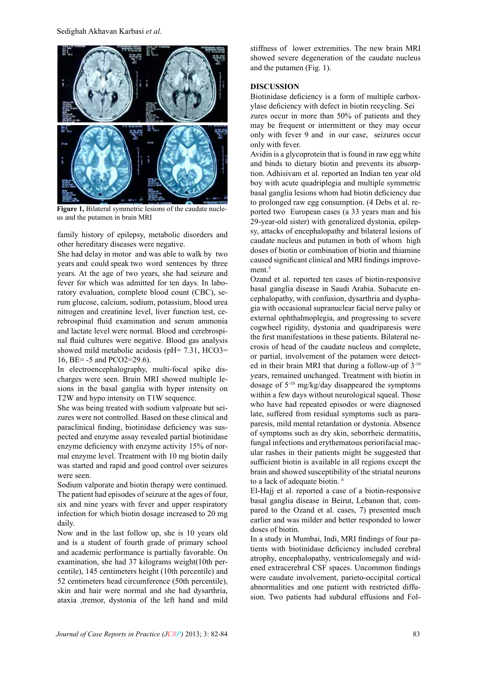

Figure 1, Bilateral symmetric lesions of the caudate nucle-<br>us and the putamen in brain MRI

family history of epilepsy, metabolic disorders and other hereditary diseases were negative.

She had delay in motor and was able to walk by two years and could speak two word sentences by three years. At the age of two years, she had seizure and ratory evaluation, complete blood count (CBC), se-<br>rum glucose, calcium, sodium, potassium, blood urea fever for which was admitted for ten days. In laboratory evaluation, complete blood count (CBC), serebrospinal fluid examination and serum ammonia nitrogen and creatinine level, liver function test, cenal fluid cultures were negative. Blood gas analysis and lactate level were normal. Blood and cerebrospishowed mild metabolic acidosis ( $pH = 7.31$ , HCO3= 16, BE= $-5$  and PCO2=29.6).

sions in the basal ganglia with hyper intensity on charges were seen. Brain MRI showed multiple le-In electroencephalography, multi-focal spike dis-T2W and hypo intensity on T1W sequence.

zures were not controlled. Based on these clinical and She was being treated with sodium valproate but seipected and enzyme assay revealed partial biotinidase paraclinical finding, biotinidase deficiency was susmal enzyme level. Treatment with 10 mg biotin daily enzyme deficiency with enzyme activity 15% of norwas started and rapid and good control over seizures were seen.

Sodium valporate and biotin therapy were continued. The patient had episodes of seizure at the ages of four, six and nine years with fever and upper respiratory infection for which biotin dosage increased to 20 mg daily.

Now and in the last follow up, she is 10 years old and is a student of fourth grade of primary school and academic performance is partially favorable. On examination, she had 37 kilograms weight (10th percentile), 145 centimeters height (10th percentile) and 52 centimeters head circumference (50th percentile), skin and hair were normal and she had dysarthria, ataxia ,tremor, dystonia of the left hand and mild

stiffness of lower extremities. The new brain MRI showed severe degeneration of the caudate nucleus and the putamen  $(Fig, 1)$ .

# **DISCUSSION**

ylase deficiency with defect in biotin recycling. Sei Biotinidase deficiency is a form of multiple carbox-

zures occur in more than  $50\%$  of patients and they may be frequent or intermittent or they may occur only with fever 9 and in our case, seizures occur only with fever.

Avidin is a glycoprotein that is found in raw egg white tion. Adhisivam et al. reported an Indian ten year old and binds to dietary biotin and prevents its absorpboy with acute quadriplegia and multiple symmetric basal ganglia lesions whom had biotin deficiency due ported two European cases (a 33 years man and his to prolonged raw egg consumption. (4 Debs et al. resy, attacks of encephalopathy and bilateral lesions of 29-year-old sister) with generalized dystonia, epilepcaudate nucleus and putamen in both of whom high doses of biotin or combination of biotin and thiamine caused significant clinical and MRI findings improvement.<sup>5</sup>

Ozand et al. reported ten cases of biotin-responsive cephalopathy, with confusion, dysarthria and dyspha-<br>gia with occasional supranuclear facial nerve palsy or basal ganglia disease in Saudi Arabia. Subacute en-<br>cephalopathy, with confusion, dysarthria and dysphabasal ganglia disease in Saudi Arabia. Subacute enexternal ophthalmoplegia, and progressing to severe cogwheel rigidity, dystonia and quadriparesis were crosis of head of the caudate nucleus and complete, the first manifestations in these patients. Bilateral need in their brain MRI that during a follow-up of  $3<sup>-10</sup>$ or partial, involvement of the putamen were detectyears, remained unchanged. Treatment with biotin in dosage of  $5^{-10}$  mg/kg/day disappeared the symptoms within a few days without neurological squeal. Those who have had repeated episodes or were diagnosed paresis, mild mental retardation or dystonia. Absence late, suffered from residual symptoms such as paraof symptoms such as dry skin, seborrheic dermatitis, ular rashes in their patients might be suggested that fungal infections and erythematous periorifacial macsufficient biotin is available in all regions except the brain and showed susceptibility of the striatal neurons to a lack of adequate biotin. <sup>6</sup>

El-Hajj et al. reported a case of a biotin-responsive pared to the Ozand et al. cases, 7) presented much basal ganglia disease in Beirut, Lebanon that, comearlier and was milder and better responded to lower doses of biotin.

tients with biotinidase deficiency included cerebral In a study in Mumbai, Indi, MRI findings of four paened extracerebral CSF spaces. Uncommon findings atrophy, encephalopathy, ventriculomegaly and widwere caudate involvement, parieto-occipital cortical abnormalities and one patient with restricted diffusion. Two patients had subdural effusions and Folabnormalities and one patient with restricted diffu